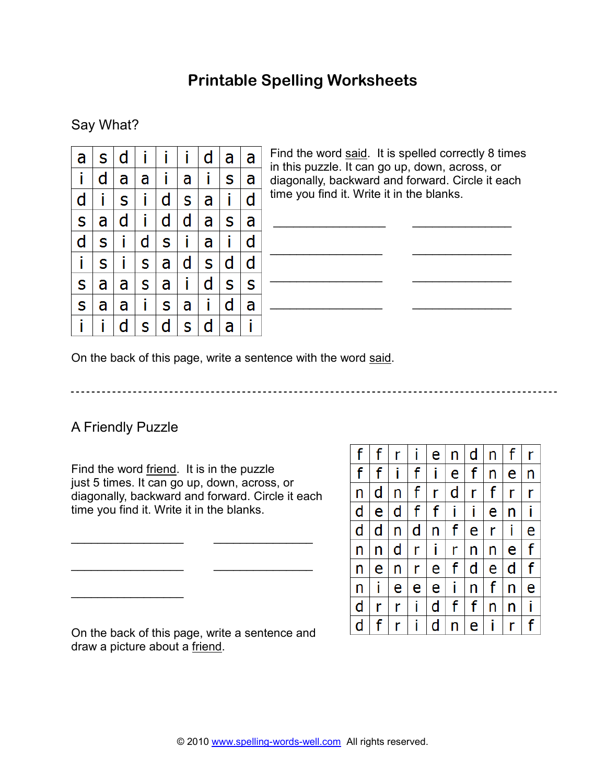# **Printable Spelling Worksheets**

## Say What?

| а | S | d | İ | i | i | d | а | a |
|---|---|---|---|---|---|---|---|---|
| i | d | а | а | i | а | i | S | a |
| d | i | S | i | d | S | а | i | d |
| Ś | a | d | i | d | d | a | S | a |
| d | S | İ | d | S | i | a | i | d |
| İ | S | i | S | a | d | S | d | d |
| S | а | а | S | a | i | d | S | S |
| S | а | а | i | S | а | i | d | а |
| i |   | d | S | d | S | d | a | i |

Find the word said. It is spelled correctly 8 times in this puzzle. It can go up, down, across, or diagonally, backward and forward. Circle it each time you find it. Write it in the blanks.

 $\frac{1}{\sqrt{2\pi}}\left(\frac{1}{\sqrt{2\pi}}\right)^{2\sqrt{2\pi}}\left(\frac{1}{\sqrt{2\pi}}\right)^{2\sqrt{2\pi}}\left(\frac{1}{\sqrt{2\pi}}\right)^{2\sqrt{2\pi}}$ 

\_\_\_\_\_\_\_\_\_\_\_\_\_\_\_\_\_ \_\_\_\_\_\_\_\_\_\_\_\_\_\_\_

\_\_\_\_\_\_\_\_\_\_\_\_\_\_\_\_\_ \_\_\_\_\_\_\_\_\_\_\_\_\_\_\_

\_\_\_\_\_\_\_\_\_\_\_\_\_\_\_\_\_ \_\_\_\_\_\_\_\_\_\_\_\_\_\_\_

On the back of this page, write a sentence with the word said.

## A Friendly Puzzle

 $\overline{\phantom{a}}$  , where  $\overline{\phantom{a}}$ 

Find the word friend. It is in the puzzle just 5 times. It can go up, down, across, or diagonally, backward and forward. Circle it each time you find it. Write it in the blanks.

\_\_\_\_\_\_\_\_\_\_\_\_\_\_\_\_\_ \_\_\_\_\_\_\_\_\_\_\_\_\_\_\_

\_\_\_\_\_\_\_\_\_\_\_\_\_\_\_\_\_ \_\_\_\_\_\_\_\_\_\_\_\_\_\_\_

| f | f | r | Ĩ | e | n | d | n | f | r |
|---|---|---|---|---|---|---|---|---|---|
| f | f | i | f | İ | e | f | n | e | n |
| n | d | n | f | r | d | r | f | r | r |
| d | e | d | f | f | Î | i | e | n | Ť |
| d | d | n | d | n | f | e | r | i | e |
| n | n | d | r | İ | r | n | n | e | f |
| n | e | n | r | e | f | d | e | d | f |
| n | Ĩ | е | е | e | i | n | f | n | e |
| d | r | r | i | d | f | f | n | n | İ |
| d | f | r | i | d | n | e | Ť | r |   |

On the back of this page, write a sentence and draw a picture about a friend.